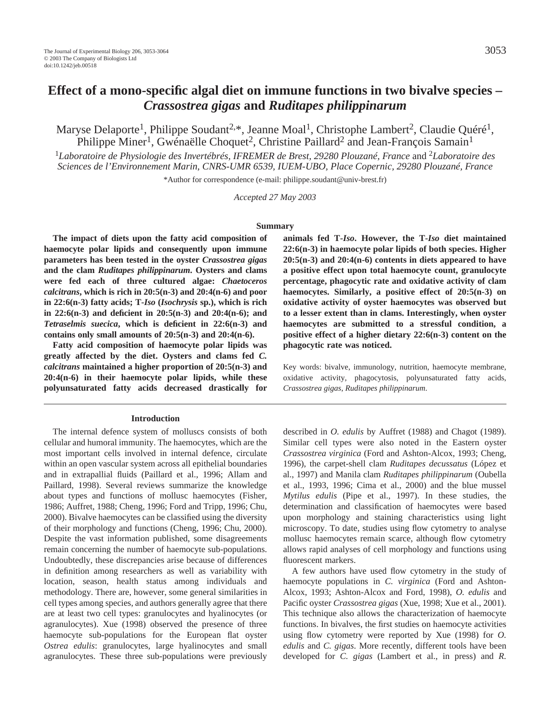Maryse Delaporte<sup>1</sup>, Philippe Soudant<sup>2,\*</sup>, Jeanne Moal<sup>1</sup>, Christophe Lambert<sup>2</sup>, Claudie Ouéré<sup>1</sup>, Philippe Miner<sup>1</sup>, Gwénaëlle Choquet<sup>2</sup>, Christine Paillard<sup>2</sup> and Jean-François Samain<sup>1</sup>

<sup>1</sup>*Laboratoire de Physiologie des Invertébrés, IFREMER de Brest, 29280 Plouzané, France* and 2*Laboratoire des Sciences de l'Environnement Marin, CNRS-UMR 6539, IUEM-UBO, Place Copernic, 29280 Plouzané, France*

\*Author for correspondence (e-mail: philippe.soudant@univ-brest.fr)

*Accepted 27 May 2003*

#### **Summary**

**The impact of diets upon the fatty acid composition of haemocyte polar lipids and consequently upon immune parameters has been tested in the oyster** *Crassostrea gigas* **and the clam** *Ruditapes philippinarum***. Oysters and clams were fed each of three cultured algae:** *Chaetoceros calcitrans***, which is rich in 20:5(n-3) and 20:4(n-6) and poor in 22:6(n-3) fatty acids; T-***Iso* **(***Isochrysis* **sp.), which is rich in 22:6(n-3) and deficient in 20:5(n-3) and 20:4(n-6); and** *Tetraselmis suecica***, which is deficient in 22:6(n-3) and contains only small amounts of 20:5(n-3) and 20:4(n-6).**

**Fatty acid composition of haemocyte polar lipids was greatly affected by the diet. Oysters and clams fed** *C. calcitrans* **maintained a higher proportion of 20:5(n-3) and 20:4(n-6) in their haemocyte polar lipids, while these polyunsaturated fatty acids decreased drastically for**

#### **Introduction**

The internal defence system of molluscs consists of both cellular and humoral immunity. The haemocytes, which are the most important cells involved in internal defence, circulate within an open vascular system across all epithelial boundaries and in extrapallial fluids (Paillard et al., 1996; Allam and Paillard, 1998). Several reviews summarize the knowledge about types and functions of mollusc haemocytes (Fisher, 1986; Auffret, 1988; Cheng, 1996; Ford and Tripp, 1996; Chu, 2000). Bivalve haemocytes can be classified using the diversity of their morphology and functions (Cheng, 1996; Chu, 2000). Despite the vast information published, some disagreements remain concerning the number of haemocyte sub-populations. Undoubtedly, these discrepancies arise because of differences in definition among researchers as well as variability with location, season, health status among individuals and methodology. There are, however, some general similarities in cell types among species, and authors generally agree that there are at least two cell types: granulocytes and hyalinocytes (or agranulocytes). Xue (1998) observed the presence of three haemocyte sub-populations for the European flat oyster *Ostrea edulis*: granulocytes, large hyalinocytes and small agranulocytes. These three sub-populations were previously **animals fed T-***Iso***. However, the T-***Iso* **diet maintained 22:6(n-3) in haemocyte polar lipids of both species. Higher 20:5(n-3) and 20:4(n-6) contents in diets appeared to have a positive effect upon total haemocyte count, granulocyte percentage, phagocytic rate and oxidative activity of clam haemocytes. Similarly, a positive effect of 20:5(n-3) on oxidative activity of oyster haemocytes was observed but to a lesser extent than in clams. Interestingly, when oyster haemocytes are submitted to a stressful condition, a positive effect of a higher dietary 22:6(n-3) content on the phagocytic rate was noticed.** 

Key words: bivalve, immunology, nutrition, haemocyte membrane, oxidative activity, phagocytosis, polyunsaturated fatty acids, *Crassostrea gigas*, *Ruditapes philippinarum*.

described in *O. edulis* by Auffret (1988) and Chagot (1989). Similar cell types were also noted in the Eastern oyster *Crassostrea virginica* (Ford and Ashton-Alcox, 1993; Cheng, 1996), the carpet-shell clam *Ruditapes decussatus* (López et al., 1997) and Manila clam *Ruditapes philippinarum* (Oubella et al., 1993, 1996; Cima et al., 2000) and the blue mussel *Mytilus edulis* (Pipe et al., 1997). In these studies, the determination and classification of haemocytes were based upon morphology and staining characteristics using light microscopy. To date, studies using flow cytometry to analyse mollusc haemocytes remain scarce, although flow cytometry allows rapid analyses of cell morphology and functions using fluorescent markers.

A few authors have used flow cytometry in the study of haemocyte populations in *C. virginica* (Ford and Ashton-Alcox, 1993; Ashton-Alcox and Ford, 1998), *O. edulis* and Pacific oyster *Crassostrea gigas* (Xue, 1998; Xue et al., 2001). This technique also allows the characterization of haemocyte functions. In bivalves, the first studies on haemocyte activities using flow cytometry were reported by Xue (1998) for *O. edulis* and *C. gigas*. More recently, different tools have been developed for *C. gigas* (Lambert et al., in press) and *R.*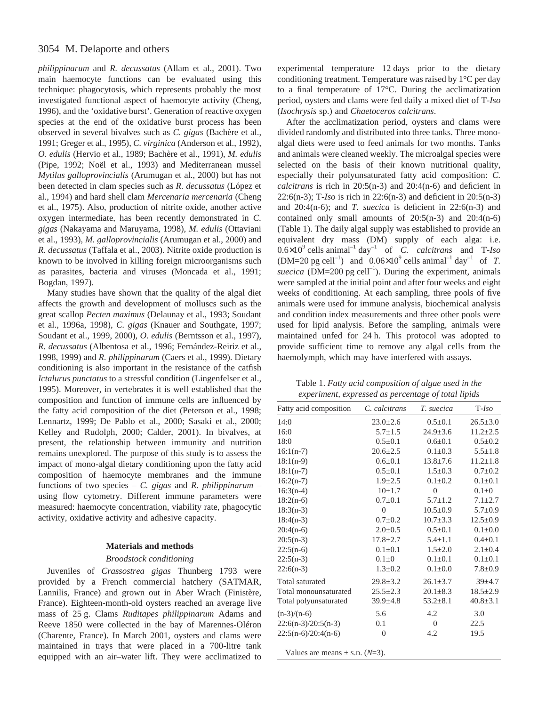*philippinarum* and *R. decussatus* (Allam et al., 2001). Two main haemocyte functions can be evaluated using this technique: phagocytosis, which represents probably the most investigated functional aspect of haemocyte activity (Cheng, 1996), and the 'oxidative burst'. Generation of reactive oxygen species at the end of the oxidative burst process has been observed in several bivalves such as *C. gigas* (Bachère et al., 1991; Greger et al., 1995), *C. virginica* (Anderson et al., 1992), *O. edulis* (Hervio et al., 1989; Bachère et al., 1991), *M. edulis* (Pipe, 1992; Noël et al., 1993) and Mediterranean mussel *Mytilus galloprovincialis* (Arumugan et al., 2000) but has not been detected in clam species such as *R. decussatus* (López et al., 1994) and hard shell clam *Mercenaria mercenaria* (Cheng et al., 1975). Also, production of nitrite oxide, another active oxygen intermediate, has been recently demonstrated in *C. gigas* (Nakayama and Maruyama, 1998), *M. edulis* (Ottaviani et al., 1993), *M. galloprovincialis* (Arumugan et al., 2000) and *R. decussatus* (Taffala et al., 2003). Nitrite oxide production is known to be involved in killing foreign microorganisms such as parasites, bacteria and viruses (Moncada et al., 1991; Bogdan, 1997).

Many studies have shown that the quality of the algal diet affects the growth and development of molluscs such as the great scallop *Pecten maximus* (Delaunay et al., 1993; Soudant et al., 1996a, 1998), *C. gigas* (Knauer and Southgate, 1997; Soudant et al., 1999, 2000), *O. edulis* (Berntsson et al., 1997), *R. decussatus* (Albentosa et al., 1996; Fernández-Reiriz et al., 1998, 1999) and *R. philippinarum* (Caers et al., 1999). Dietary conditioning is also important in the resistance of the catfish *Ictalurus punctatus* to a stressful condition (Lingenfelser et al., 1995). Moreover, in vertebrates it is well established that the composition and function of immune cells are influenced by the fatty acid composition of the diet (Peterson et al., 1998; Lennartz, 1999; De Pablo et al., 2000; Sasaki et al., 2000; Kelley and Rudolph, 2000; Calder, 2001). In bivalves, at present, the relationship between immunity and nutrition remains unexplored. The purpose of this study is to assess the impact of mono-algal dietary conditioning upon the fatty acid composition of haemocyte membranes and the immune functions of two species – *C. gigas* and *R. philippinarum* – using flow cytometry. Different immune parameters were measured: haemocyte concentration, viability rate, phagocytic activity, oxidative activity and adhesive capacity.

### **Materials and methods**

## *Broodstock conditioning*

Juveniles of *Crassostrea gigas* Thunberg 1793 were provided by a French commercial hatchery (SATMAR, Lannilis, France) and grown out in Aber Wrach (Finistère, France). Eighteen-month-old oysters reached an average live mass of 25 g. Clams *Ruditapes philippinarum* Adams and Reeve 1850 were collected in the bay of Marennes-Oléron (Charente, France). In March 2001, oysters and clams were maintained in trays that were placed in a 700-litre tank equipped with an air–water lift. They were acclimatized to

experimental temperature 12-days prior to the dietary conditioning treatment. Temperature was raised by 1°C per day to a final temperature of 17°C. During the acclimatization period, oysters and clams were fed daily a mixed diet of T-*Iso* (*Isochrysis* sp.) and *Chaetoceros calcitrans*.

After the acclimatization period, oysters and clams were divided randomly and distributed into three tanks. Three monoalgal diets were used to feed animals for two months. Tanks and animals were cleaned weekly. The microalgal species were selected on the basis of their known nutritional quality, especially their polyunsaturated fatty acid composition: *C. calcitrans* is rich in 20:5(n-3) and 20:4(n-6) and deficient in 22:6(n-3); T-*Iso* is rich in 22:6(n-3) and deficient in 20:5(n-3) and 20:4(n-6); and *T. suecica* is deficient in 22:6(n-3) and contained only small amounts of  $20:5(n-3)$  and  $20:4(n-6)$ (Table 1). The daily algal supply was established to provide an equivalent dry mass (DM) supply of each alga: i.e.  $0.6 \times 10^9$  cells animal<sup>-1</sup> day<sup>-1</sup> of *C. calcitrans* and T-*Iso*  $(DM=20 \text{ pg cell}^{-1})$  and  $0.06\times10^{9}$  cells animal<sup>-1</sup> day<sup>-1</sup> of *T*. *suecica* (DM=200 pg cell<sup>-1</sup>). During the experiment, animals were sampled at the initial point and after four weeks and eight weeks of conditioning. At each sampling, three pools of five animals were used for immune analysis, biochemical analysis and condition index measurements and three other pools were used for lipid analysis. Before the sampling, animals were maintained unfed for 24 h. This protocol was adopted to provide sufficient time to remove any algal cells from the haemolymph, which may have interfered with assays.

Table 1. *Fatty acid composition of algae used in the experiment, expressed as percentage of total lipids*

| Fatty acid composition | C. calcitrans  | T. suecica     | $T$ -Iso       |
|------------------------|----------------|----------------|----------------|
| 14:0                   | $23.0 \pm 2.6$ | $0.5 \pm 0.1$  | $26.5 \pm 3.0$ |
| 16:0                   | $5.7 \pm 1.5$  | $24.9 + 3.6$   | $11.2 \pm 2.5$ |
| 18:0                   | $0.5 \pm 0.1$  | $0.6 \pm 0.1$  | $0.5 \pm 0.2$  |
| $16:1(n-7)$            | $20.6 \pm 2.5$ | $0.1 \pm 0.3$  | $5.5 \pm 1.8$  |
| $18:1(n-9)$            | $0.6 + 0.1$    | $13.8 \pm 7.6$ | $11.2 \pm 1.8$ |
| $18:1(n-7)$            | $0.5 \pm 0.1$  | $1.5 \pm 0.3$  | $0.7 \pm 0.2$  |
| $16:2(n-7)$            | $1.9 \pm 2.5$  | $0.1 + 0.2$    | $0.1 \pm 0.1$  |
| $16:3(n-4)$            | $10+1.7$       | $\theta$       | $0.1 \pm 0$    |
| $18:2(n-6)$            | $0.7+0.1$      | $5.7 \pm 1.2$  | $7.1 \pm 2.7$  |
| $18:3(n-3)$            | $\theta$       | $10.5 \pm 0.9$ | $5.7 \pm 0.9$  |
| $18:4(n-3)$            | $0.7 \pm 0.2$  | $10.7 \pm 3.3$ | $12.5 \pm 0.9$ |
| $20:4(n-6)$            | $2.0 \pm 0.5$  | $0.5 \pm 0.1$  | $0.1 \pm 0.0$  |
| $20:5(n-3)$            | $17.8 \pm 2.7$ | $5.4 \pm 1.1$  | $0.4 \pm 0.1$  |
| $22:5(n-6)$            | $0.1 + 0.1$    | $1.5 + 2.0$    | $2.1 \pm 0.4$  |
| $22:5(n-3)$            | $0.1 + 0$      | $0.1 \pm 0.1$  | $0.1 \pm 0.1$  |
| $22:6(n-3)$            | $1.3 \pm 0.2$  | $0.1 \pm 0.0$  | $7.8 \pm 0.9$  |
| <b>Total saturated</b> | $29.8 \pm 3.2$ | $26.1 \pm 3.7$ | $39 + 4.7$     |
| Total monounsaturated  | $25.5 \pm 2.3$ | $20.1 \pm 8.3$ | $18.5 \pm 2.9$ |
| Total polyunsaturated  | $39.9 \pm 4.8$ | $53.2 \pm 8.1$ | $40.8 \pm 3.1$ |
| $(n-3)/(n-6)$          | 5.6            | 4.2            | 3.0            |
| $22:6(n-3)/20:5(n-3)$  | 0.1            | $\theta$       | 22.5           |
| $22:5(n-6)/20:4(n-6)$  | $\theta$       | 4.2            | 19.5           |

Values are means  $\pm$  s.D. ( $N=3$ ).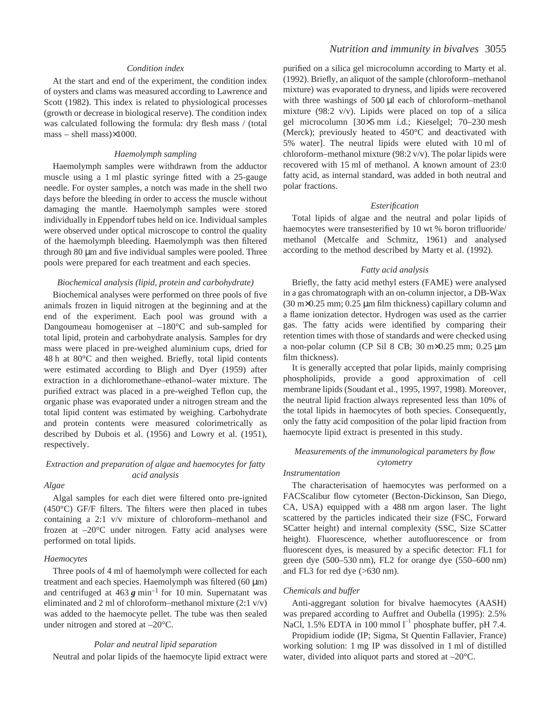### *Condition index*

At the start and end of the experiment, the condition index of oysters and clams was measured according to Lawrence and Scott (1982). This index is related to physiological processes (growth or decrease in biological reserve). The condition index was calculated following the formula: dry flesh mass / (total  $mass - shell mass) \times 1000.$ 

#### *Haemolymph sampling*

Haemolymph samples were withdrawn from the adductor muscle using a 1 ml plastic syringe fitted with a 25-gauge needle. For oyster samples, a notch was made in the shell two days before the bleeding in order to access the muscle without damaging the mantle. Haemolymph samples were stored individually in Eppendorf tubes held on ice. Individual samples were observed under optical microscope to control the quality of the haemolymph bleeding. Haemolymph was then filtered through 80 um and five individual samples were pooled. Three pools were prepared for each treatment and each species.

### *Biochemical analysis (lipid, protein and carbohydrate)*

Biochemical analyses were performed on three pools of five animals frozen in liquid nitrogen at the beginning and at the end of the experiment. Each pool was ground with a Dangoumeau homogeniser at –180°C and sub-sampled for total lipid, protein and carbohydrate analysis. Samples for dry mass were placed in pre-weighed aluminium cups, dried for  $48h$  at  $80^{\circ}$ C and then weighed. Briefly, total lipid contents were estimated according to Bligh and Dyer (1959) after extraction in a dichloromethane–ethanol–water mixture. The purified extract was placed in a pre-weighed Teflon cup, the organic phase was evaporated under a nitrogen stream and the total lipid content was estimated by weighing. Carbohydrate and protein contents were measured colorimetrically as described by Dubois et al. (1956) and Lowry et al. (1951), respectively.

## *Extraction and preparation of algae and haemocytes for fatty acid analysis*

## *Algae*

Algal samples for each diet were filtered onto pre-ignited (450°C) GF/F filters. The filters were then placed in tubes containing a 2:1 v/v mixture of chloroform–methanol and frozen at –20°C under nitrogen. Fatty acid analyses were performed on total lipids.

#### *Haemocytes*

Three pools of 4 ml of haemolymph were collected for each treatment and each species. Haemolymph was filtered  $(60 \mu m)$ and centrifuged at  $463\ g \text{ min}^{-1}$  for 10 min. Supernatant was eliminated and 2 ml of chloroform–methanol mixture  $(2:1 \text{ v/v})$ was added to the haemocyte pellet. The tube was then sealed under nitrogen and stored at –20°C.

### *Polar and neutral lipid separation*

Neutral and polar lipids of the haemocyte lipid extract were

purified on a silica gel microcolumn according to Marty et al. (1992). Briefly, an aliquot of the sample (chloroform–methanol mixture) was evaporated to dryness, and lipids were recovered with three washings of 500 µl each of chloroform–methanol mixture (98:2 v/v). Lipids were placed on top of a silica gel microcolumn [30×5 mm i.d.; Kieselgel; 70–230 mesh (Merck); previously heated to 450°C and deactivated with 5% water]. The neutral lipids were eluted with 10 ml of chloroform–methanol mixture (98:2 v/v). The polar lipids were recovered with 15 ml of methanol. A known amount of 23:0 fatty acid, as internal standard, was added in both neutral and polar fractions.

### *Esterification*

Total lipids of algae and the neutral and polar lipids of haemocytes were transesterified by 10 wt % boron trifluoride/ methanol (Metcalfe and Schmitz, 1961) and analysed according to the method described by Marty et al. (1992).

### *Fatty acid analysis*

Briefly, the fatty acid methyl esters (FAME) were analysed in a gas chromatograph with an on-column injector, a DB-Wax (30 m $\times$ 0.25 mm; 0.25 µm film thickness) capillary column and a flame ionization detector. Hydrogen was used as the carrier gas. The fatty acids were identified by comparing their retention times with those of standards and were checked using a non-polar column (CP Sil 8 CB;  $30 \text{ m} \times 0.25 \text{ mm}$ ;  $0.25 \mu \text{m}$ film thickness).

It is generally accepted that polar lipids, mainly comprising phospholipids, provide a good approximation of cell membrane lipids (Soudant et al., 1995, 1997, 1998). Moreover, the neutral lipid fraction always represented less than 10% of the total lipids in haemocytes of both species. Consequently, only the fatty acid composition of the polar lipid fraction from haemocyte lipid extract is presented in this study.

# *Measurements of the immunological parameters by flow cytometry*

### *Instrumentation*

The characterisation of haemocytes was performed on a FACScalibur flow cytometer (Becton-Dickinson, San Diego, CA, USA) equipped with a 488 nm argon laser. The light scattered by the particles indicated their size (FSC, Forward SCatter height) and internal complexity (SSC, Size SCatter height). Fluorescence, whether autofluorescence or from fluorescent dyes, is measured by a specific detector: FL1 for green dye  $(500-530 \text{ nm})$ , FL2 for orange dye  $(550-600 \text{ nm})$ and FL3 for red dye  $(>630$  nm).

### *Chemicals and buffer*

Anti-aggregant solution for bivalve haemocytes (AASH) was prepared according to Auffret and Oubella (1995): 2.5% NaCl,  $1.5\%$  EDTA in 100 mmol  $I^{-1}$  phosphate buffer, pH 7.4.

Propidium iodide (IP; Sigma, St Quentin Fallavier, France) working solution: 1 mg IP was dissolved in 1 ml of distilled water, divided into aliquot parts and stored at –20°C.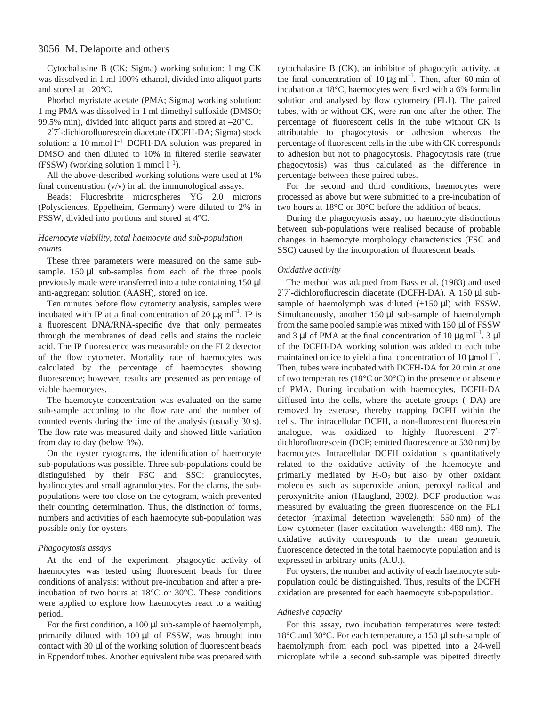Cytochalasine B (CK; Sigma) working solution: 1 mg CK was dissolved in 1 ml 100% ethanol, divided into aliquot parts and stored at  $-20^{\circ}$ C.

Phorbol myristate acetate (PMA; Sigma) working solution: 1 mg PMA was dissolved in 1 ml dimethyl sulfoxide (DMSO; 99.5% min), divided into aliquot parts and stored at –20°C.

2′7′-dichlorofluorescein diacetate (DCFH-DA; Sigma) stock solution: a 10 mmol  $l^{-1}$  DCFH-DA solution was prepared in DMSO and then diluted to 10% in filtered sterile seawater (FSSW) (working solution 1 mmol  $l^{-1}$ ).

All the above-described working solutions were used at 1% final concentration  $(v/v)$  in all the immunological assays.

Beads: Fluoresbrite microspheres YG 2.0 microns (Polysciences, Eppelheim, Germany) were diluted to 2% in FSSW, divided into portions and stored at 4°C.

# *Haemocyte viability, total haemocyte and sub-population counts*

These three parameters were measured on the same subsample.  $150 \mu l$  sub-samples from each of the three pools previously made were transferred into a tube containing 150 µl anti-aggregant solution (AASH), stored on ice.

Ten minutes before flow cytometry analysis, samples were incubated with IP at a final concentration of 20  $\mu$ g ml<sup>-1</sup>. IP is a fluorescent DNA/RNA-specific dye that only permeates through the membranes of dead cells and stains the nucleic acid. The IP fluorescence was measurable on the FL2 detector of the flow cytometer. Mortality rate of haemocytes was calculated by the percentage of haemocytes showing fluorescence; however, results are presented as percentage of viable haemocytes.

The haemocyte concentration was evaluated on the same sub-sample according to the flow rate and the number of counted events during the time of the analysis (usually 30 s). The flow rate was measured daily and showed little variation from day to day (below 3%).

On the oyster cytograms, the identification of haemocyte sub-populations was possible. Three sub-populations could be distinguished by their FSC and SSC: granulocytes, hyalinocytes and small agranulocytes. For the clams, the subpopulations were too close on the cytogram, which prevented their counting determination. Thus, the distinction of forms, numbers and activities of each haemocyte sub-population was possible only for oysters.

### *Phagocytosis assays*

At the end of the experiment, phagocytic activity of haemocytes was tested using fluorescent beads for three conditions of analysis: without pre-incubation and after a preincubation of two hours at 18°C or 30°C. These conditions were applied to explore how haemocytes react to a waiting period.

For the first condition, a  $100 \mu l$  sub-sample of haemolymph, primarily diluted with  $100 \mu l$  of FSSW, was brought into contact with  $30 \mu$ l of the working solution of fluorescent beads in Eppendorf tubes. Another equivalent tube was prepared with

cytochalasine B (CK), an inhibitor of phagocytic activity, at the final concentration of 10  $\mu$ g ml<sup>-1</sup>. Then, after 60 min of incubation at 18°C, haemocytes were fixed with a 6% formalin solution and analysed by flow cytometry (FL1). The paired tubes, with or without CK, were run one after the other. The percentage of fluorescent cells in the tube without CK is attributable to phagocytosis or adhesion whereas the percentage of fluorescent cells in the tube with CK corresponds to adhesion but not to phagocytosis. Phagocytosis rate (true phagocytosis) was thus calculated as the difference in percentage between these paired tubes.

For the second and third conditions, haemocytes were processed as above but were submitted to a pre-incubation of two hours at 18°C or 30°C before the addition of beads.

During the phagocytosis assay, no haemocyte distinctions between sub-populations were realised because of probable changes in haemocyte morphology characteristics (FSC and SSC) caused by the incorporation of fluorescent beads.

### *Oxidative activity*

The method was adapted from Bass et al. (1983) and used 2'7'-dichlorofluorescin diacetate (DCFH-DA). A 150 µl subsample of haemolymph was diluted  $(+150 \mu l)$  with FSSW. Simultaneously, another 150  $\mu$ l sub-sample of haemolymph from the same pooled sample was mixed with  $150 \mu$ l of FSSW and 3  $\mu$ l of PMA at the final concentration of 10  $\mu$ g ml<sup>-1</sup>. 3  $\mu$ l of the DCFH-DA working solution was added to each tube maintained on ice to yield a final concentration of 10  $\mu$ mol  $l^{-1}$ . Then, tubes were incubated with DCFH-DA for 20 min at one of two temperatures (18°C or 30°C) in the presence or absence of PMA. During incubation with haemocytes, DCFH-DA diffused into the cells, where the acetate groups (–DA) are removed by esterase, thereby trapping DCFH within the cells. The intracellular DCFH, a non-fluorescent fluorescein analogue, was oxidized to highly fluorescent 2′7′ dichlorofluorescein (DCF; emitted fluorescence at 530 nm) by haemocytes. Intracellular DCFH oxidation is quantitatively related to the oxidative activity of the haemocyte and primarily mediated by  $H_2O_2$  but also by other oxidant molecules such as superoxide anion, peroxyl radical and peroxynitrite anion (Haugland, 2002*)*. DCF production was measured by evaluating the green fluorescence on the FL1 detector (maximal detection wavelength: 550 nm) of the flow cytometer (laser excitation wavelength: 488 nm). The oxidative activity corresponds to the mean geometric fluorescence detected in the total haemocyte population and is expressed in arbitrary units (A.U.).

For oysters, the number and activity of each haemocyte subpopulation could be distinguished. Thus, results of the DCFH oxidation are presented for each haemocyte sub-population.

### *Adhesive capacity*

For this assay, two incubation temperatures were tested: 18 $\degree$ C and 30 $\degree$ C. For each temperature, a 150 µl sub-sample of haemolymph from each pool was pipetted into a 24-well microplate while a second sub-sample was pipetted directly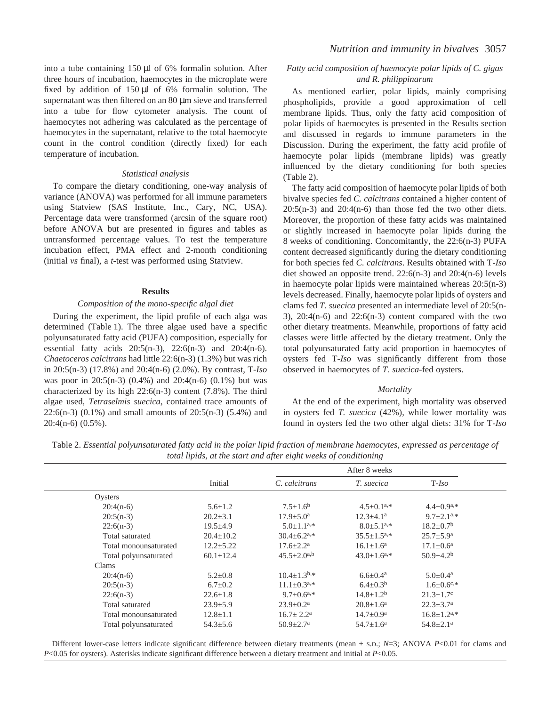into a tube containing  $150 \mu l$  of 6% formalin solution. After three hours of incubation, haemocytes in the microplate were fixed by addition of  $150 \mu l$  of 6% formalin solution. The supernatant was then filtered on an 80  $\mu$ m sieve and transferred into a tube for flow cytometer analysis. The count of haemocytes not adhering was calculated as the percentage of haemocytes in the supernatant, relative to the total haemocyte count in the control condition (directly fixed) for each temperature of incubation.

#### *Statistical analysis*

To compare the dietary conditioning, one-way analysis of variance (ANOVA) was performed for all immune parameters using Statview (SAS Institute, Inc., Cary, NC, USA). Percentage data were transformed (arcsin of the square root) before ANOVA but are presented in figures and tables as untransformed percentage values. To test the temperature incubation effect, PMA effect and 2-month conditioning (initial *vs* final), a *t*-test was performed using Statview.

#### **Results**

### *Composition of the mono-specific algal diet*

During the experiment, the lipid profile of each alga was determined (Table 1). The three algae used have a specific polyunsaturated fatty acid (PUFA) composition, especially for essential fatty acids 20:5(n-3), 22:6(n-3) and 20:4(n-6). *Chaetoceros calcitrans* had little 22:6(n-3) (1.3%) but was rich in 20:5(n-3) (17.8%) and 20:4(n-6) (2.0%). By contrast, T-*Iso* was poor in 20:5(n-3) (0.4%) and 20:4(n-6) (0.1%) but was characterized by its high 22:6(n-3) content (7.8%). The third algae used, *Tetraselmis suecica*, contained trace amounts of 22:6(n-3) (0.1%) and small amounts of 20:5(n-3) (5.4%) and 20:4(n-6) (0.5%).

# *Fatty acid composition of haemocyte polar lipids of C. gigas and R. philippinarum*

As mentioned earlier, polar lipids, mainly comprising phospholipids, provide a good approximation of cell membrane lipids. Thus, only the fatty acid composition of polar lipids of haemocytes is presented in the Results section and discussed in regards to immune parameters in the Discussion. During the experiment, the fatty acid profile of haemocyte polar lipids (membrane lipids) was greatly influenced by the dietary conditioning for both species  $(Table 2)$ .

The fatty acid composition of haemocyte polar lipids of both bivalve species fed *C. calcitrans* contained a higher content of  $20:5(n-3)$  and  $20:4(n-6)$  than those fed the two other diets. Moreover, the proportion of these fatty acids was maintained or slightly increased in haemocyte polar lipids during the 8 weeks of conditioning. Concomitantly, the 22:6(n-3) PUFA content decreased significantly during the dietary conditioning for both species fed *C. calcitrans*. Results obtained with T-*Iso* diet showed an opposite trend. 22:6(n-3) and 20:4(n-6) levels in haemocyte polar lipids were maintained whereas 20:5(n-3) levels decreased. Finally, haemocyte polar lipids of oysters and clams fed *T. suecica* presented an intermediate level of 20:5(n-3),  $20:4(n-6)$  and  $22:6(n-3)$  content compared with the two other dietary treatments. Meanwhile, proportions of fatty acid classes were little affected by the dietary treatment. Only the total polyunsaturated fatty acid proportion in haemocytes of oysters fed T-*Iso* was significantly different from those observed in haemocytes of *T. suecica*-fed oysters.

#### *Mortality*

At the end of the experiment, high mortality was observed in oysters fed *T. suecica* (42%), while lower mortality was found in oysters fed the two other algal diets: 31% for T-*Iso*

Table 2. *Essential polyunsaturated fatty acid in the polar lipid fraction of membrane haemocytes, expressed as percentage of total lipids, at the start and after eight weeks of conditioning*

|                       |                 |                               | After 8 weeks                 |                               |
|-----------------------|-----------------|-------------------------------|-------------------------------|-------------------------------|
|                       | Initial         | C. calcitrans                 | T. suecica                    | $T$ -Iso                      |
| Oysters               |                 |                               |                               |                               |
| $20:4(n-6)$           | $5.6 \pm 1.2$   | $7.5 \pm 1.6^b$               | $4.5 \pm 0.1^{a,*}$           | $4.4 \pm 0.9^{a,*}$           |
| $20:5(n-3)$           | $20.2 \pm 3.1$  | $17.9 \pm 5.0^{\circ}$        | $12.3 \pm 4.1^a$              | $9.7+2.1^{a,*}$               |
| $22:6(n-3)$           | $19.5 \pm 4.9$  | $5.0 \pm 1.1^{a,*}$           | $8.0 \pm 5.1$ <sup>a,*</sup>  | $18.2 \pm 0.7$ <sup>b</sup>   |
| Total saturated       | $20.4 \pm 10.2$ | $30.4 \pm 6.2$ <sup>a,*</sup> | $35.5 \pm 1.5^{a,*}$          | $25.7 \pm 5.9^{\rm a}$        |
| Total monounsaturated | $12.2 \pm 5.22$ | $17.6 \pm 2.2^{\text{a}}$     | $16.1 \pm 1.6^a$              | $17.1 \pm 0.6^{\text{a}}$     |
| Total polyunsaturated | $60.1 \pm 12.4$ | $45.5 \pm 2.0^{a,b}$          | $43.0 \pm 1.6$ <sup>a,*</sup> | $50.9 \pm 4.2^b$              |
| Clams                 |                 |                               |                               |                               |
| $20:4(n-6)$           | $5.2 \pm 0.8$   | $10.4 \pm 1.3$ <sup>b,*</sup> | $6.6 \pm 0.4^{\text{a}}$      | $5.0 \pm 0.4^{\text{a}}$      |
| $20:5(n-3)$           | $6.7 \pm 0.2$   | $11.1 \pm 0.3^{a,*}$          | $6.4 \pm 0.3^b$               | $1.6 \pm 0.6$ <sup>c,*</sup>  |
| $22:6(n-3)$           | $22.6 \pm 1.8$  | $9.7 \pm 0.6^{a,*}$           | $14.8 \pm 1.2^b$              | $21.3 \pm 1.7$ °              |
| Total saturated       | $23.9 \pm 5.9$  | $23.9 \pm 0.2^{\text{a}}$     | $20.8 \pm 1.6^a$              | $22.3 \pm 3.7^{\rm a}$        |
| Total monounsaturated | $12.8 \pm 1.1$  | $16.7 \pm 2.2^{\text{a}}$     | $14.7 \pm 0.9^{\rm a}$        | $16.8 \pm 1.2$ <sup>a,*</sup> |
| Total polyunsaturated | $54.3 \pm 5.6$  | $50.9 \pm 2.7$ <sup>a</sup>   | $54.7 \pm 1.6^a$              | $54.8 \pm 2.1$ <sup>a</sup>   |

Different lower-case letters indicate significant difference between dietary treatments (mean  $\pm$  s.D.; *N*=3; ANOVA *P*<0.01 for clams and *P*<0.05 for oysters). Asterisks indicate significant difference between a dietary treatment and initial at *P*<0.05.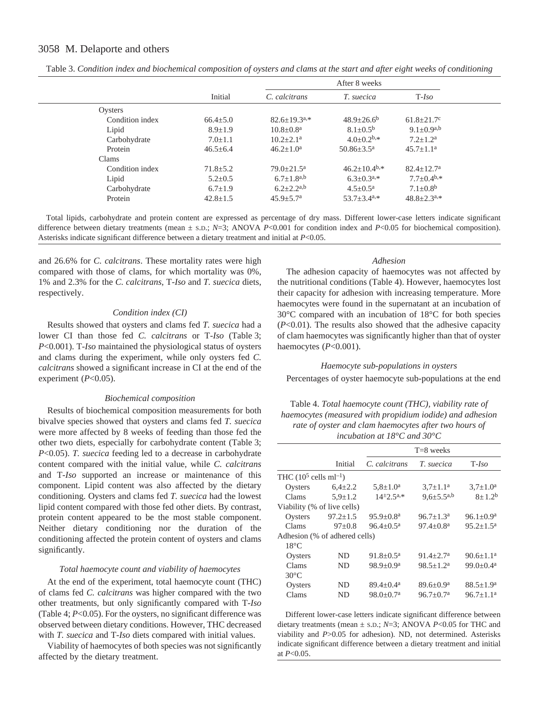|                 | After 8 weeks  |                           |                             |                            |  |
|-----------------|----------------|---------------------------|-----------------------------|----------------------------|--|
|                 | Initial        | C. calcitrans             | T. suecica                  | $T$ - <i>Iso</i>           |  |
| Oysters         |                |                           |                             |                            |  |
| Condition index | $66.4 \pm 5.0$ | $82.6 + 19.3a.*$          | $48.9 \pm 26.6^b$           | $61.8 \pm 21.7$ °          |  |
| Lipid           | $8.9 + 1.9$    | $10.8 \pm 0.8^{\text{a}}$ | $8.1 \pm 0.5^{\rm b}$       | $9.1+0.9a,b$               |  |
| Carbohydrate    | $7.0 \pm 1.1$  | $10.2 + 2.1^a$            | $4.0+0.2^{b,*}$             | $7.2 + 1.2^a$              |  |
| Protein         | $46.5 \pm 6.4$ | $46.2 \pm 1.0^a$          | $50.86 + 3.5^{\text{a}}$    | $45.7 + 1.1^a$             |  |
| Clams           |                |                           |                             |                            |  |
| Condition index | $71.8 \pm 5.2$ | $79.0 + 21.5^a$           | $46.2+10.4b,*$              | $82.4 + 12.7a$             |  |
| Lipid           | $5.2 \pm 0.5$  | $6.7 \pm 1.8^{a,b}$       | $6.3+0.3^{a,*}$             | $7.7 \pm 0.4^{b,*}$        |  |
| Carbohydrate    | $6.7 \pm 1.9$  | $6.2 + 2.2^{a,b}$         | $4.5 + 0.5^a$               | $7.1 \pm 0.8$ <sup>b</sup> |  |
| Protein         | $42.8 + 1.5$   | $45.9 + 5.7a$             | $53.7 + 3.4^{\mathrm{a},*}$ | $48.8 + 2.3a.*$            |  |

Table 3. *Condition index and biochemical composition of oysters and clams at the start and after eight weeks of conditioning*

Total lipids, carbohydrate and protein content are expressed as percentage of dry mass. Different lower-case letters indicate significant difference between dietary treatments (mean  $\pm$  s.D.; *N*=3; ANOVA *P*<0.001 for condition index and *P*<0.05 for biochemical composition). Asterisks indicate significant difference between a dietary treatment and initial at *P*<0.05.

and 26.6% for *C. calcitrans*. These mortality rates were high compared with those of clams, for which mortality was 0%, 1% and 2.3% for the *C. calcitrans*, T-*Iso* and *T. suecica* diets, respectively.

#### *Condition index (CI)*

Results showed that oysters and clams fed *T. suecica* had a lower CI than those fed *C. calcitrans* or T-*Iso* (Table 3; *P*<0.001). T-*Iso* maintained the physiological status of oysters and clams during the experiment, while only oysters fed *C. calcitrans* showed a significant increase in CI at the end of the experiment (*P*<0.05).

### *Biochemical composition*

Results of biochemical composition measurements for both bivalve species showed that oysters and clams fed *T. suecica* were more affected by 8 weeks of feeding than those fed the other two diets, especially for carbohydrate content (Table 3; *P*<0.05). *T. suecica* feeding led to a decrease in carbohydrate content compared with the initial value, while *C. calcitrans* and T-*Iso* supported an increase or maintenance of this component. Lipid content was also affected by the dietary conditioning. Oysters and clams fed *T. suecica* had the lowest lipid content compared with those fed other diets. By contrast, protein content appeared to be the most stable component. Neither dietary conditioning nor the duration of the conditioning affected the protein content of oysters and clams significantly.

### *Total haemocyte count and viability of haemocytes*

At the end of the experiment, total haemocyte count (THC) of clams fed *C. calcitrans* was higher compared with the two other treatments, but only significantly compared with T-*Iso* (Table 4;  $P<0.05$ ). For the oysters, no significant difference was observed between dietary conditions. However, THC decreased with *T. suecica* and T-*Iso* diets compared with initial values.

Viability of haemocytes of both species was not significantly affected by the dietary treatment.

### *Adhesion*

The adhesion capacity of haemocytes was not affected by the nutritional conditions (Table 4). However, haemocytes lost their capacity for adhesion with increasing temperature. More haemocytes were found in the supernatant at an incubation of 30°C compared with an incubation of 18°C for both species (*P*<0.01). The results also showed that the adhesive capacity of clam haemocytes was significantly higher than that of oyster haemocytes (*P*<0.001).

#### *Haemocyte sub-populations in oysters*

Percentages of oyster haemocyte sub-populations at the end

# Table 4. *Total haemocyte count (THC), viability rate of haemocytes (measured with propidium iodide) and adhesion rate of oyster and clam haemocytes after two hours of incubation at 18°C and 30°C*

|                                    |                | $T=8$ weeks               |                     |                         |  |
|------------------------------------|----------------|---------------------------|---------------------|-------------------------|--|
|                                    | Initial        | C. calcitrans             | <i>T.</i> suecica   | $T$ - <i>Iso</i>        |  |
| THC $(10^5 \text{ cells ml}^{-1})$ |                |                           |                     |                         |  |
| Oysters                            | $6,4{\pm}2.2$  | $5,8 \pm 1.0^a$           | $3.7 \pm 1.1^a$     | $3.7 \pm 1.0^a$         |  |
| Clams :                            | $5.9 \pm 1.2$  | $14^{\pm}2.5^{a,*}$       | $9.6 \pm 5.5^{a,b}$ | $8 + 1.2^b$             |  |
| Viability (% of live cells)        |                |                           |                     |                         |  |
| Oysters                            | $97.2 \pm 1.5$ | $95.9 + 0.8^a$            | $96.7 + 1.3a$       | $96.1 + 0.9^a$          |  |
| <b>Clams</b>                       | $97+0.8$       | $96.4 + 0.5^{\text{a}}$   | $97.4 + 0.8^a$      | $95.2 + 1.5^{\text{a}}$ |  |
| Adhesion (% of adhered cells)      |                |                           |                     |                         |  |
| $18^{\circ}$ C                     |                |                           |                     |                         |  |
| Oysters                            | ND.            | $91.8 \pm 0.5^{\text{a}}$ | $91.4 + 2.7a$       | $90.6 + 1.1^a$          |  |
| Clams                              | ND.            | $98.9 + 0.9$ <sup>a</sup> | $98.5 + 1.2^a$      | $99.0 + 0.4^a$          |  |
| $30^{\circ}$ C                     |                |                           |                     |                         |  |
| Oysters                            | ND.            | $89.4 + 0.4^a$            | $89.6 + 0.9^a$      | $88.5 \pm 1.9^{\rm a}$  |  |
| Clams                              | ND             | $98.0 + 0.7$ <sup>a</sup> | $96.7 + 0.7^a$      | $96.7 \pm 1.1^a$        |  |

Different lower-case letters indicate significant difference between dietary treatments (mean ± S.D.; *N*=3; ANOVA *P*<0.05 for THC and viability and *P*>0.05 for adhesion). ND, not determined. Asterisks indicate significant difference between a dietary treatment and initial at *P*<0.05.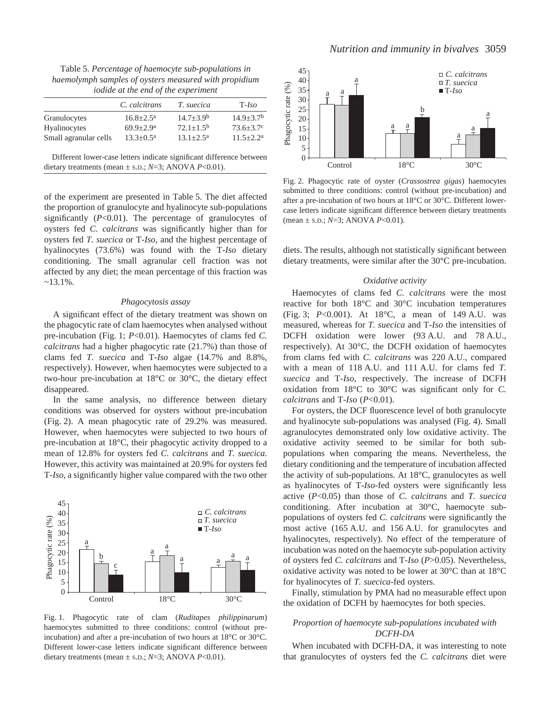Table 5. *Percentage of haemocyte sub-populations in haemolymph samples of oysters measured with propidium iodide at the end of the experiment*

|                                                                      | C. calcitrans             | T. suecica     | $T$ - <i>Iso</i> |
|----------------------------------------------------------------------|---------------------------|----------------|------------------|
| Granulocytes                                                         | $16.8 \pm 2.5^{\text{a}}$ | $14.7 + 3.9b$  | $14.9 + 3.7b$    |
| Hyalinocytes                                                         | $69.9 + 2.9$ <sup>a</sup> | $72.1 + 1.5^b$ | $73.6 \pm 3.7$ ° |
| Small agranular cells                                                | $13.3 \pm 0.5^{\text{a}}$ | $13.1 + 2.5^a$ | $11.5 \pm 2.2^a$ |
| Different lower-case letters indicate significant difference between |                           |                |                  |

dietary treatments (mean ± S.D.; *N*=3; ANOVA *P*<0.01).

of the experiment are presented in Table 5. The diet affected the proportion of granulocyte and hyalinocyte sub-populations significantly (*P*<0.01). The percentage of granulocytes of oysters fed *C. calcitrans* was significantly higher than for oysters fed *T. suecica* or T-*Iso*, and the highest percentage of hyalinocytes (73.6%) was found with the T-*Iso* dietary conditioning. The small agranular cell fraction was not affected by any diet; the mean percentage of this fraction was  $~13.1\%$ .

#### *Phagocytosis assay*

A significant effect of the dietary treatment was shown on the phagocytic rate of clam haemocytes when analysed without pre-incubation (Fig. 1;  $P<0.01$ ). Haemocytes of clams fed *C*. *calcitrans* had a higher phagocytic rate (21.7%) than those of clams fed *T. suecica* and T-*Iso* algae (14.7% and 8.8%, respectively). However, when haemocytes were subjected to a two-hour pre-incubation at 18°C or 30°C, the dietary effect disappeared.

In the same analysis, no difference between dietary conditions was observed for oysters without pre-incubation (Fig. 2). A mean phagocytic rate of 29.2% was measured. However, when haemocytes were subjected to two hours of pre-incubation at 18°C, their phagocytic activity dropped to a mean of 12.8% for oysters fed *C. calcitrans* and *T. suecica*. However, this activity was maintained at 20.9% for oysters fed T-*Iso,* a significantly higher value compared with the two other



Fig. 1. Phagocytic rate of clam (*Ruditapes philippinarum*) haemocytes submitted to three conditions: control (without preincubation) and after a pre-incubation of two hours at 18°C or 30°C. Different lower-case letters indicate significant difference between dietary treatments (mean ± S.D.; *N*=3; ANOVA *P*<0.01).



Fig. 2. Phagocytic rate of oyster (*Crassostrea gigas*) haemocytes submitted to three conditions: control (without pre-incubation) and after a pre-incubation of two hours at 18°C or 30°C. Different lowercase letters indicate significant difference between dietary treatments (mean ± S.D.; *N*=3; ANOVA *P*<0.01).

diets. The results, although not statistically significant between dietary treatments, were similar after the 30°C pre-incubation.

### *Oxidative activity*

Haemocytes of clams fed *C. calcitrans* were the most reactive for both 18°C and 30°C incubation temperatures (Fig. 3; *P*<0.001). At 18°C, a mean of 149 A.U. was measured, whereas for *T. suecica* and T-*Iso* the intensities of DCFH oxidation were lower (93 A.U. and 78 A.U., respectively). At 30°C, the DCFH oxidation of haemocytes from clams fed with *C. calcitrans* was 220 A.U., compared with a mean of 118 A.U. and 111 A.U. for clams fed *T*. *suecica* and T-*Iso*, respectively. The increase of DCFH oxidation from 18°C to 30°C was significant only for *C. calcitrans* and T-*Iso* (*P*<0.01).

For oysters, the DCF fluorescence level of both granulocyte and hyalinocyte sub-populations was analysed (Fig. 4). Small agranulocytes demonstrated only low oxidative activity. The oxidative activity seemed to be similar for both subpopulations when comparing the means. Nevertheless, the dietary conditioning and the temperature of incubation affected the activity of sub-populations. At 18°C, granulocytes as well as hyalinocytes of T-*Iso*-fed oysters were significantly less active (*P*<0.05) than those of *C. calcitrans* and *T. suecica* conditioning. After incubation at 30°C, haemocyte subpopulations of oysters fed *C. calcitrans* were significantly the most active (165 A.U. and 156 A.U. for granulocytes and hyalinocytes, respectively). No effect of the temperature of incubation was noted on the haemocyte sub-population activity of oysters fed *C. calcitrans* and T-*Iso* (*P*>0.05). Nevertheless, oxidative activity was noted to be lower at 30°C than at 18°C for hyalinocytes of *T. suecica*-fed oysters.

Finally, stimulation by PMA had no measurable effect upon the oxidation of DCFH by haemocytes for both species.

# *Proportion of haemocyte sub-populations incubated with DCFH-DA*

When incubated with DCFH-DA, it was interesting to note that granulocytes of oysters fed the *C. calcitrans* diet were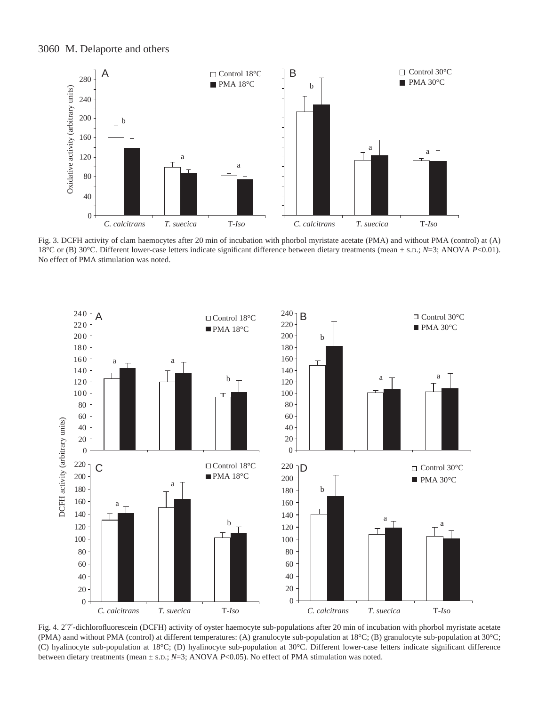

Fig. 3. DCFH activity of clam haemocytes after 20 min of incubation with phorbol myristate acetate (PMA) and without PMA (control) at (A) 18°C or (B) 30°C. Different lower-case letters indicate significant difference between dietary treatments (mean ± S.D.; *N*=3; ANOVA *P*<0.01). No effect of PMA stimulation was noted.



Fig. 4. 2'7'-dichlorofluorescein (DCFH) activity of oyster haemocyte sub-populations after 20 min of incubation with phorbol myristate acetate (PMA) aand without PMA (control) at different temperatures: (A) granulocyte sub-population at 18°C; (B) granulocyte sub-population at 30°C; (C) hyalinocyte sub-population at 18°C; (D) hyalinocyte sub-population at 30°C. Different lower-case letters indicate significant difference between dietary treatments (mean  $\pm$  s.d.; *N*=3; ANOVA *P*<0.05). No effect of PMA stimulation was noted.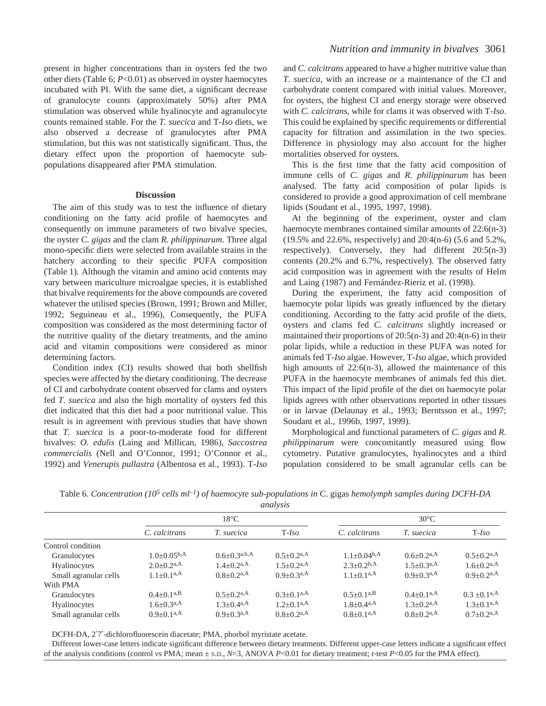present in higher concentrations than in oysters fed the two other diets (Table 6; *P*<0.01) as observed in oyster haemocytes incubated with PI. With the same diet, a significant decrease of granulocyte counts (approximately 50%) after PMA stimulation was observed while hyalinocyte and agranulocyte counts remained stable. For the *T. suecica* and T-*Iso* diets, we also observed a decrease of granulocytes after PMA stimulation, but this was not statistically significant. Thus, the dietary effect upon the proportion of haemocyte subpopulations disappeared after PMA stimulation.

#### **Discussion**

The aim of this study was to test the influence of dietary conditioning on the fatty acid profile of haemocytes and consequently on immune parameters of two bivalve species, the oyster *C. gigas* and the clam *R. philippinarum*. Three algal mono-specific diets were selected from available strains in the hatchery according to their specific PUFA composition (Table 1). Although the vitamin and amino acid contents may vary between mariculture microalgae species, it is established that bivalve requirements for the above compounds are covered whatever the utilised species (Brown, 1991; Brown and Miller, 1992; Seguineau et al., 1996), Consequently, the PUFA composition was considered as the most determining factor of the nutritive quality of the dietary treatments, and the amino acid and vitamin compositions were considered as minor determining factors.

Condition index (CI) results showed that both shellfish species were affected by the dietary conditioning. The decrease of CI and carbohydrate content observed for clams and oysters fed *T. suecica* and also the high mortality of oysters fed this diet indicated that this diet had a poor nutritional value. This result is in agreement with previous studies that have shown that *T. suecica* is a poor-to-moderate food for different bivalves: *O. edulis* (Laing and Millican, 1986), *Saccostrea commercialis* (Nell and O'Connor, 1991; O'Connor et al., 1992) and *Venerupis pullastra* (Albentosa et al., 1993). T-*Iso* and *C. calcitrans* appeared to have a higher nutritive value than *T. suecica*, with an increase or a maintenance of the CI and carbohydrate content compared with initial values. Moreover, for oysters, the highest CI and energy storage were observed with *C. calcitrans*, while for clams it was observed with T-*Iso*. This could be explained by specific requirements or differential capacity for filtration and assimilation in the two species. Difference in physiology may also account for the higher mortalities observed for oysters.

This is the first time that the fatty acid composition of immune cells of *C. gigas* and *R. philippinarum* has been analysed. The fatty acid composition of polar lipids is considered to provide a good approximation of cell membrane lipids (Soudant et al., 1995, 1997, 1998).

At the beginning of the experiment, oyster and clam haemocyte membranes contained similar amounts of 22:6(n-3) (19.5% and 22.6%, respectively) and 20:4(n-6) (5.6 and 5.2%, respectively). Conversely, they had different 20:5(n-3) contents (20.2% and 6.7%, respectively). The observed fatty acid composition was in agreement with the results of Helm and Laing (1987) and Fernández-Rieriz et al. (1998).

During the experiment, the fatty acid composition of haemocyte polar lipids was greatly influenced by the dietary conditioning. According to the fatty acid profile of the diets, oysters and clams fed *C. calcitrans* slightly increased or maintained their proportions of 20:5(n-3) and 20:4(n-6) in their polar lipids, while a reduction in these PUFA was noted for animals fed T-*Iso* algae. However, T-*Iso* algae, which provided high amounts of 22:6(n-3), allowed the maintenance of this PUFA in the haemocyte membranes of animals fed this diet. This impact of the lipid profile of the diet on haemocyte polar lipids agrees with other observations reported in other tissues or in larvae (Delaunay et al., 1993; Berntsson et al., 1997; Soudant et al., 1996b, 1997, 1999).

Morphological and functional parameters of *C. gigas* and *R. philippinarum* were concomitantly measured using flow cytometry. Putative granulocytes, hyalinocytes and a third population considered to be small agranular cells can be

| anai <i>v</i> ois     |                                    |                            |                              |                                        |                              |                              |
|-----------------------|------------------------------------|----------------------------|------------------------------|----------------------------------------|------------------------------|------------------------------|
|                       | $18^{\circ}$ C                     |                            |                              | $30^{\circ}$ C                         |                              |                              |
|                       | C. calcitrans                      | T. suecica                 | $T$ -Iso                     | C. calcitrans                          | T. suecica                   | $T$ - <i>Iso</i>             |
| Control condition     |                                    |                            |                              |                                        |                              |                              |
| Granulocytes          | $1.0+0.05^{\mathrm{b},\mathrm{A}}$ | $0.6+0.3a,b,A$             | $0.5+0.2^{a,A}$              | $1.1 \pm 0.04^{\mathrm{b},\mathrm{A}}$ | $0.6 + 0.2$ <sup>a,A</sup>   | $0.5+0.2^{a,A}$              |
| Hyalinocytes          | $2.0+0.2^{a,A}$                    | $1.4 + 0.2$ <sup>a,A</sup> | $1.5+0.2^{a,A}$              | $2.3 + 0.2^{b,A}$                      | $1.5 + 0.3$ <sup>a,A</sup>   | $1.6 + 0.2$ <sup>a,A</sup>   |
| Small agranular cells | $1.1+0.1a,A$                       | $0.8 + 0.2$ <sup>a,A</sup> | $0.9+0.3a$ <sup>A</sup>      | $1.1+0.1^{a,A}$                        | $0.9+0.3a$ <sup>A</sup>      | $0.9+0.2^{a,A}$              |
| With PMA              |                                    |                            |                              |                                        |                              |                              |
| Granulocytes          | $0.4+0.1^{a,B}$                    | $0.5+0.2^{a,A}$            | $0.3 \pm 0.1$ <sup>a,A</sup> | $0.5+0.1^{a,B}$                        | $0.4 \pm 0.1$ <sup>a,A</sup> | $0.3 \pm 0.1$ <sup>a,A</sup> |
| Hyalinocytes          | $1.6 + 0.3a$ <sup>A</sup>          | $1.3 + 0.4$ <sup>a,A</sup> | $1.2+0.1^{a,A}$              | $1.8 + 0.4$ <sup>a,A</sup>             | $1.3 + 0.2$ <sup>a,A</sup>   | $1.3+0.1^{a,A}$              |
| Small agranular cells | $0.9+0.1a,A$                       | $0.9+0.3a,A$               | $0.8 + 0.2$ <sup>a,A</sup>   | $0.8+0.1a,A$                           | $0.8 + 0.2$ <sup>a,A</sup>   | $0.7+0.2^{a,A}$              |

Table 6. *Concentration (105·cells·ml–1) of haemocyte sub-populations in* C. gigas *hemolymph samples during DCFH-DA analysis*

DCFH-DA, 2′7′-dichlorofluorescein diacetate; PMA, phorbol myristate acetate.

Different lower-case letters indicate significant difference between dietary treatments. Different upper-case letters indicate a significant effect of the analysis conditions (control *vs* PMA; mean ± S.D., *N*=3, ANOVA *P*<0.01 for dietary treatment; *t*-test *P*<0.05 for the PMA effect).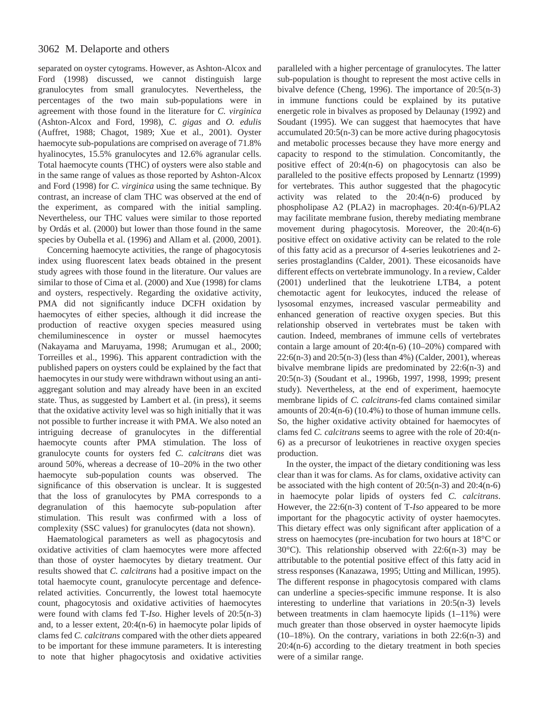separated on oyster cytograms. However, as Ashton-Alcox and Ford (1998) discussed, we cannot distinguish large granulocytes from small granulocytes. Nevertheless, the percentages of the two main sub-populations were in agreement with those found in the literature for *C. virginica* (Ashton-Alcox and Ford, 1998), *C. gigas* and *O. edulis* (Auffret, 1988; Chagot, 1989; Xue et al., 2001). Oyster haemocyte sub-populations are comprised on average of 71.8% hyalinocytes, 15.5% granulocytes and 12.6% agranular cells. Total haemocyte counts (THC) of oysters were also stable and in the same range of values as those reported by Ashton-Alcox and Ford (1998) for *C. virginica* using the same technique. By contrast, an increase of clam THC was observed at the end of the experiment, as compared with the initial sampling. Nevertheless, our THC values were similar to those reported by Ordás et al. (2000) but lower than those found in the same species by Oubella et al. (1996) and Allam et al. (2000, 2001).

Concerning haemocyte activities, the range of phagocytosis index using fluorescent latex beads obtained in the present study agrees with those found in the literature. Our values are similar to those of Cima et al. (2000) and Xue (1998) for clams and oysters, respectively. Regarding the oxidative activity, PMA did not significantly induce DCFH oxidation by haemocytes of either species, although it did increase the production of reactive oxygen species measured using chemiluminescence in oyster or mussel haemocytes (Nakayama and Maruyama, 1998; Arumugan et al., 2000; Torreilles et al., 1996). This apparent contradiction with the published papers on oysters could be explained by the fact that haemocytes in our study were withdrawn without using an antiaggregant solution and may already have been in an excited state. Thus, as suggested by Lambert et al. (in press), it seems that the oxidative activity level was so high initially that it was not possible to further increase it with PMA. We also noted an intriguing decrease of granulocytes in the differential haemocyte counts after PMA stimulation. The loss of granulocyte counts for oysters fed *C. calcitrans* diet was around 50%, whereas a decrease of 10–20% in the two other haemocyte sub-population counts was observed. The significance of this observation is unclear. It is suggested that the loss of granulocytes by PMA corresponds to a degranulation of this haemocyte sub-population after stimulation. This result was confirmed with a loss of complexity (SSC values) for granulocytes (data not shown).

Haematological parameters as well as phagocytosis and oxidative activities of clam haemocytes were more affected than those of oyster haemocytes by dietary treatment. Our results showed that *C. calcitrans* had a positive impact on the total haemocyte count, granulocyte percentage and defencerelated activities. Concurrently, the lowest total haemocyte count, phagocytosis and oxidative activities of haemocytes were found with clams fed T-*Iso*. Higher levels of 20:5(n-3) and, to a lesser extent, 20:4(n-6) in haemocyte polar lipids of clams fed *C. calcitrans* compared with the other diets appeared to be important for these immune parameters. It is interesting to note that higher phagocytosis and oxidative activities paralleled with a higher percentage of granulocytes. The latter sub-population is thought to represent the most active cells in bivalve defence (Cheng, 1996). The importance of 20:5(n-3) in immune functions could be explained by its putative energetic role in bivalves as proposed by Delaunay (1992) and Soudant (1995). We can suggest that haemocytes that have accumulated 20:5(n-3) can be more active during phagocytosis and metabolic processes because they have more energy and capacity to respond to the stimulation. Concomitantly, the positive effect of 20:4(n-6) on phagocytosis can also be paralleled to the positive effects proposed by Lennartz (1999) for vertebrates. This author suggested that the phagocytic activity was related to the  $20:4(n-6)$  produced by phospholipase A2 (PLA2) in macrophages. 20:4(n-6)/PLA2 may facilitate membrane fusion, thereby mediating membrane movement during phagocytosis. Moreover, the 20:4(n-6) positive effect on oxidative activity can be related to the role of this fatty acid as a precursor of 4-series leukotrienes and 2 series prostaglandins (Calder, 2001). These eicosanoids have different effects on vertebrate immunology. In a review, Calder (2001) underlined that the leukotriene LTB4, a potent chemotactic agent for leukocytes, induced the release of lysosomal enzymes, increased vascular permeability and enhanced generation of reactive oxygen species. But this relationship observed in vertebrates must be taken with caution. Indeed, membranes of immune cells of vertebrates contain a large amount of 20:4(n-6) (10–20%) compared with 22:6(n-3) and 20:5(n-3) (less than 4%) (Calder, 2001), whereas bivalve membrane lipids are predominated by 22:6(n-3) and 20:5(n-3) (Soudant et al., 1996b, 1997, 1998, 1999; present study). Nevertheless, at the end of experiment, haemocyte membrane lipids of *C. calcitrans*-fed clams contained similar amounts of 20:4(n-6) (10.4%) to those of human immune cells. So, the higher oxidative activity obtained for haemocytes of clams fed *C. calcitrans* seems to agree with the role of 20:4(n-6) as a precursor of leukotrienes in reactive oxygen species production.

In the oyster, the impact of the dietary conditioning was less clear than it was for clams. As for clams, oxidative activity can be associated with the high content of 20:5(n-3) and 20:4(n-6) in haemocyte polar lipids of oysters fed *C. calcitrans*. However, the 22:6(n-3) content of T-*Iso* appeared to be more important for the phagocytic activity of oyster haemocytes. This dietary effect was only significant after application of a stress on haemocytes (pre-incubation for two hours at 18°C or 30°C). This relationship observed with 22:6(n-3) may be attributable to the potential positive effect of this fatty acid in stress responses (Kanazawa, 1995; Utting and Millican, 1995). The different response in phagocytosis compared with clams can underline a species-specific immune response. It is also interesting to underline that variations in 20:5(n-3) levels between treatments in clam haemocyte lipids (1–11%) were much greater than those observed in oyster haemocyte lipids (10–18%). On the contrary, variations in both 22:6(n-3) and  $20:4(n-6)$  according to the dietary treatment in both species were of a similar range.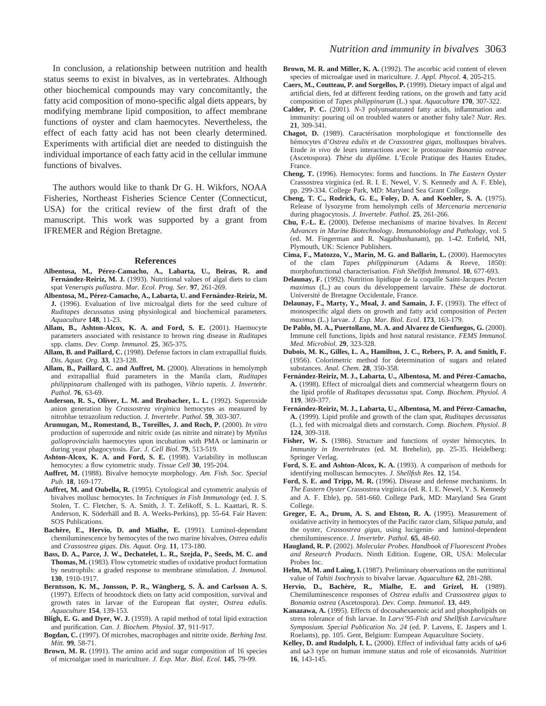In conclusion, a relationship between nutrition and health status seems to exist in bivalves, as in vertebrates. Although other biochemical compounds may vary concomitantly, the fatty acid composition of mono-specific algal diets appears, by modifying membrane lipid composition, to affect membrane functions of oyster and clam haemocytes. Nevertheless, the effect of each fatty acid has not been clearly determined. Experiments with artificial diet are needed to distinguish the individual importance of each fatty acid in the cellular immune functions of bivalves.

The authors would like to thank Dr G. H. Wikfors, NOAA Fisheries, Northeast Fisheries Science Center (Connecticut, USA) for the critical review of the first draft of the manuscript. This work was supported by a grant from IFREMER and Région Bretagne.

#### **References**

- **Albentosa, M., Pérez-Camacho, A., Labarta, U., Beiras, R. and Fernández-Reiriz, M. J.** (1993). Nutritional values of algal diets to clam spat *Venerupis pullastra*. *Mar. Ecol. Prog. Ser*. **97**, 261-269.
- **Albentosa, M., Pérez-Camacho, A., Labarta, U. and Fernández-Reiriz, M. J.** (1996). Evaluation of live microalgal diets for the seed culture of *Ruditapes decussatus* using physiological and biochemical parameters. *Aquaculture* **148**, 11-23.
- Allam, B., Ashton-Alcox, K. A. and Ford, S. E. (2001). Haemocyte parameters associated with resistance to brown ring disease in *Ruditapes* spp. clams. *Dev. Comp. Immunol.* **25**, 365-375.
- **Allam, B. and Paillard, C.** (1998). Defense factors in clam extrapallial fluids. *Dis. Aquat. Org*. **33**, 123-128.
- Allam, B., Paillard, C. and Auffret, M. (2000). Alterations in hemolymph and extrapallial fluid parameters in the Manila clam, *Ruditapes philippinarum* challenged with its pathogen, *Vibrio tapetis. J. Invertebr. Pathol.* **76**, 63-69.
- Anderson, R. S., Oliver, L. M. and Brubacher, L. L. (1992). Superoxide anion generation by *Crassostrea virginica* hemocytes as measured by nitroblue tetrazolium reduction. *J. Invertebr. Pathol.* **59**, 303-307.
- **Arumugan, M., Romestand, B., Toreilles, J. and Roch, P.** (2000). *In vitro* production of superoxide and nitric oxide (as nitrite and nitrate) by *Mytilus galloprovincialis* haemocytes upon incubation with PMA or laminarin or during yeast phagocytosis. *Eur. J. Cell Biol.* **79**, 513-519.
- Ashton-Alcox, K. A. and Ford, S. E. (1998). Variability in molluscan hemocytes: a flow cytometric study. *Tissue Cell* **30**, 195-204.
- **Auffret, M.** (1988). Bivalve hemocyte morphology. *Am. Fish. Soc. Special Pub.* **18**, 169-177.
- **Auffret, M. and Oubella, R.** (1995). Cytological and cytometric analysis of bivalves mollusc hemocytes. In *Techniques in Fish Immunology* (ed. J. S. Stolen, T. C. Fletcher, S. A. Smith, J. T. Zelikoff, S. L. Kaattari, R. S. Anderson, K. Söderhäll and B. A. Weeks-Perkins), pp. 55-64. Fair Haven: SOS Publications.
- **Bachère, E., Hervio, D. and Mialhe, E.** (1991). Luminol-dependant chemiluminescence by hemocytes of the two marine bivalves, *Ostrea edulis* and *Crassostrea gigas*. *Dis. Aquat. Org.* **11**, 173-180.
- **Bass, D. A., Parce, J. W., Dechatelet, L. R., Szejda, P., Seeds, M. C. and Thomas, M.** (1983). Flow cytometric studies of oxidative product formation by neutrophils: a graded response to membrane stimulation. *J. Immunol.* **130**, 1910-1917.
- **Berntsson, K. M., Jonsson, P. R., Wängberg, S. Å. and Carlsson A. S.** (1997). Effects of broodstock diets on fatty acid composition, survival and growth rates in larvae of the European flat oyster, *Ostrea edulis*. *Aquaculture* **154**, 139-153.
- **Bligh, E. G. and Dyer, W. J.** (1959). A rapid method of total lipid extraction and purification. *Can. J. Biochem. Physiol*. **37**, 911-917.
- **Bogdan, C.** (1997). Of microbes, macrophages and nitrite oxide. *Berhing Inst. Mitt.* **99**, 58-71.
- **Brown, M. R.** (1991). The amino acid and sugar composition of 16 species of microalgae used in mariculture. *J. Exp. Mar. Biol. Ecol.* **145**, 79-99.
- **Brown, M. R. and Miller, K. A.** (1992). The ascorbic acid content of eleven species of microalgae used in mariculture. *J. Appl. Phycol.* **4**, 205-215.
- **Caers, M., Coutteau, P. and Sorgellos, P.** (1999). Dietary impact of algal and artificial diets, fed at different feeding rations, on the growth and fatty acid composition of *Tapes philippinarum* (L.) spat. *Aquaculture* **170**, 307-322.
- **Calder, P. C.** (2001). *N-3* polyunsaturated fatty acids, inflammation and immunity: pouring oil on troubled waters or another fishy tale? *Nutr. Res.* **21**, 309-341.
- **Chagot, D.** (1989). Caractérisation morphologique et fonctionnelle des hémocytes d'*Ostrea edulis* et de *Crassostrea gigas*, mollusques bivalves. Etude *in vivo* de leurs interactions avec le protozoaire *Bonamia ostreae* (Ascetospora). *Thèse du diplôme.* L'Ecole Pratique des Hautes Etudes, France.
- **Cheng, T.** (1996). Hemocytes: forms and functions. In *The Eastern Oyster* Crassostrea virginica (ed. R. I. E. Newel, V. S. Kennedy and A. F. Eble), pp. 299-334. College Park, MD: Maryland Sea Grant College.
- **Cheng, T. C., Rodrick, G. E., Foley, D. A. and Koehler, S. A.** (1975). Release of lysozyme from hemolymph cells of *Mercenaria mercenaria* during phagocytosis. *J. Invertebr. Pathol.* **25**, 261-266.
- **Chu, F.-L. E.** (2000). Defense mechanisms of marine bivalves. In *Recent Advances in Marine Biotechnology*. *Immunobiology and Pathology*, vol. 5 (ed. M. Fingerman and R. Nagabhushanam), pp. 1-42. Enfield, NH, Plymouth, UK: Science Publishers.
- **Cima, F., Matozzo, V., Marin, M. G. and Ballarin, L.** (2000). Haemocytes of the clam *Tapes philippinarum* (Adams & Reeve, 1850): morphofunctional characterisation. *Fish Shellfish Immunol.* **10**, 677-693.
- **Delaunay, F.** (1992). Nutrition lipidique de la coquille Saint-Jacques *Pecten maximus* (L.) au cours du développement larvaire. *Thèse de doctorat.* Université de Bretagne Occidentale, France.
- Delaunay, F., Marty, Y., Moal, J. and Samain, J. F. (1993). The effect of monospecific algal diets on growth and fatty acid composition of *Pecten maximus* (L.) larvae. *J. Exp. Mar. Biol. Ecol*. **173**, 163-179.
- **De Pablo, M. A., Puertollano, M. A. and Alvarez de Cienfuegos, G.** (2000). Immune cell functions, lipids and host natural resistance. *FEMS Immunol. Med. Microbiol.* **29**, 323-328.
- **Dubois, M. K., Gilles, L. A., Hamilton, J. C., Rebers, P. A. and Smith, F.** (1956). Colorimetric method for determination of sugars and related substances. *Anal. Chem.* **28**, 350-358.
- **Fernández-Reiriz, M. J., Labarta, U., Albentosa, M. and Pérez-Camacho, A.** (1998). Effect of microalgal diets and commercial wheatgerm flours on the lipid profile of *Ruditapes decussatus* spat. *Comp. Biochem. Physiol. A* **119**, 369-377.
- **Fernández-Reiriz, M. J., Labarta, U., Albentosa, M. and Pérez-Camacho, A.** (1999). Lipid profile and growth of the clam spat, *Ruditapes decussatus* (L.), fed with microalgal diets and cornstarch. *Comp. Biochem. Physiol. B* **124**, 309-318.
- Fisher, W. S. (1986). Structure and functions of oyster hémocytes. In *Immunity in Invertebrates* (ed. M. Brehelin)*,* pp. 25-35. Heidelberg: Springer Verlag.
- Ford, S. E. and Ashton-Alcox, K. A. (1993). A comparison of methods for identifying molluscan hemocytes. *J. Shellfish Res.* **12**, 154.
- **Ford, S. E. and Tripp, M. R.** (1996). Disease and defense mechanisms. In *The Eastern Oyster* Crassostrea virginica (ed. R. I. E. Newel, V. S. Kennedy and A. F. Eble), pp. 581-660. College Park, MD: Maryland Sea Grant College.
- **Greger, E. A., Drum, A. S. and Elston, R. A.** (1995). Measurement of oxidative activity in hemocytes of the Pacific razor clam, *Siliqua patula*, and the oyster, *Crassostrea gigas*, using lucigenin- and luminol-dependent chemiluminescence. *J. Invertebr. Pathol.* **65**, 48-60.
- **Haugland, R. P.** (2002). *Molecular Probes*. *Handbook of Fluorescent Probes and Research Products*. Ninth Edition. Eugene, OR, USA: Molecular Probes Inc.
- Helm, M. M. and Laing, I. (1987). Preliminary observations on the nutritional value of *Tahiti Isochrysis* to bivalve larvae. *Aquaculture* **62**, 281-288.
- **Hervio, D., Bachère, R., Mialhe, E. and Grizel, H.** (1989). Chemiluminescence responses of *Ostrea edulis* and *Crassostrea gigas* to *Bonamia ostrea* (Ascetospora). *Dev. Comp. Immunol.* **13**, 449.
- **Kanazawa, A.** (1995). Effects of docosahexaenoic acid and phospholipids on stress tolerance of fish larvae. In *Larvi'95-Fish and Shellfish Larviculture Symposium. Special Publication No. 24* (ed. P. Lavens, E. Jaspers and I. Roelants), pp. 105. Gent, Belgium: European Aquaculture Society.
- **Kelley, D. and Rudolph, I. L.** (2000). Effect of individual fatty acids of ω-6 and ω-3 type on human immune status and role of eicosanoids. *Nutrition* **16**, 143-145.